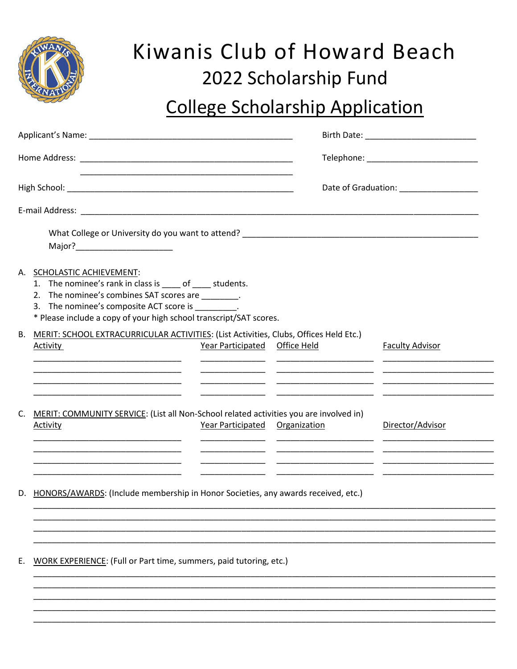

## Kiwanis Club of Howard Beach 2022 Scholarship Fund

**College Scholarship Application** 

|    |                                                                                                                                                                                                                                                                        |                                 | Telephone: _______________________________ |
|----|------------------------------------------------------------------------------------------------------------------------------------------------------------------------------------------------------------------------------------------------------------------------|---------------------------------|--------------------------------------------|
|    | <u> 1989 - Johann John Stoff, deutscher Stoffen und der Stoffen und der Stoffen und der Stoffen und der Stoffen u</u>                                                                                                                                                  |                                 | Date of Graduation: __________________     |
|    |                                                                                                                                                                                                                                                                        |                                 |                                            |
|    | Major?_____________________________                                                                                                                                                                                                                                    |                                 |                                            |
|    | A. SCHOLASTIC ACHIEVEMENT:<br>1. The nominee's rank in class is ____ of ____ students.<br>2. The nominee's combines SAT scores are _______.<br>3. The nominee's composite ACT score is ________.<br>* Please include a copy of your high school transcript/SAT scores. |                                 |                                            |
| В. | MERIT: SCHOOL EXTRACURRICULAR ACTIVITIES: (List Activities, Clubs, Offices Held Etc.)<br><b>Activity</b>                                                                                                                                                               | Year Participated   Office Held | <b>Faculty Advisor</b>                     |
| C. | MERIT: COMMUNITY SERVICE: (List all Non-School related activities you are involved in)<br><b>Activity</b>                                                                                                                                                              | Year Participated Organization  | Director/Advisor                           |
|    | D. HONORS/AWARDS: (Include membership in Honor Societies, any awards received, etc.)                                                                                                                                                                                   |                                 |                                            |
| Ε. | WORK EXPERIENCE: (Full or Part time, summers, paid tutoring, etc.)                                                                                                                                                                                                     |                                 |                                            |